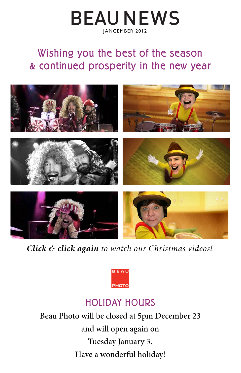# BEAU NEWS JANCEMBER 2012

# Wishing you the best of the season & continued prosperity in the new year



*[Click](http://sendables.jibjab.com/view/i6PpvohgxcDaDv75) & [click again](http://sendables.jibjab.com/view/a3hxn4JiEgUbrRN2) to watch our Christmas videos!*



## HOLIDAY HOURS

Beau Photo will be closed at 5pm December 23 and will open again on Tuesday January 3. Have a wonderful holiday!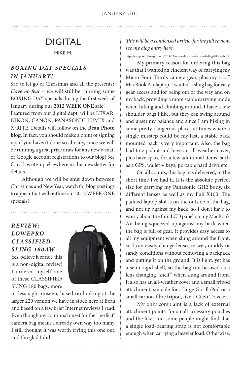## DIGITAL

MIKE M.

## *BOXING DAY SPECIALS*

### *IN JANUARY!*

Sad to let go of Christmas and all the presents? *Have no fear* – we will still be running some BOXING DAY specials during the first week of January during our **2012 WEEK ONE** sale! Featured from our digital dept. will be LEXAR, NIKON, CANON, PANASONIC LUMIX and X-RITE. Details will follow on the **Beau Photo blog**. In fact, you should make a point of signing up, if you haven't done so already, since we will be running a great prize draw for any new e-mail or Google account registrations to our blog! See Carol's write-up elsewhere in this newsletter for details.

 Although we will be shut down between Christmas and New Year, watch for blog postings to appear that will outline our 2012 WEEK ONE specials!

## *REVIEW: LOWEPRO CL ASSIFIED SL I N G 1 8 0 AW*

Yes, believe it or not, this is a non-digital review! I ordered myself one of these CLASSIFIED SLING 180 bags, more



or less sight unseen, based on looking at the larger 220 version we have in stock here at Beau and based on a few brief Internet reviews I read. Even though my continual quest for the "perfect" camera bag means I already own way too many, I still thought it was worth trying this one out, and I'm glad I did!

*This will be a condensed article*, *for the full review, see my blog entry here*:

http://beauphoto.blogspot.com/2011/12/review-lowepro-classified-sling-180-aw.html

 My primary reason for ordering this bag was that I wanted an efficient way of carrying my Micro-Four-Thirds camera gear, plus my 13.3" MacBook Air laptop. I wanted a sling bag for easy gear access and for being out of the way and on my back, providing a more stable carrying mode when hiking and climbing around. I have a few shoulder bags I like, but they can swing around and upset my balance and since I am hiking in some pretty dangerous places at times where a single misstep could be my last, a stable back mounted pack is very important. Also, the bag had to zip shut and have an all-weather cover, plus have space for a few additional items, such as a GPS, wallet + keys, portable hard drive etc.

 On all counts, this bag has delivered, in the short time I've had it. It is the absolute perfect size for carrying my Panasonic GH2 body, six different lenses as well as my Fuji X100. The padded laptop slot is on the outside of the bag, and not up against my back, so I don't have to worry about the thin LCD panel on my MacBook Air being squeezed up against my back when the bag is full of gear. It provides easy access to all my equipment when slung around the front, so I can easily change lenses in wet, muddy or sandy conditions without removing a backpack and putting it on the ground. It is light, yet has a semi-rigid shell, so the bag can be used as a lens changing "shelf" when slung around front. It also has an all-weather cover and a small tripod attachment, suitable for a large GorillaPod or a small carbon-fibre tripod, like a Gitzo Traveler.

 My only complaint is a lack of external attachment points, for small accessory pouches and the like, and some people might find that a single load-bearing strap is not comfortable enough when carrying a heavier load. Otherwise,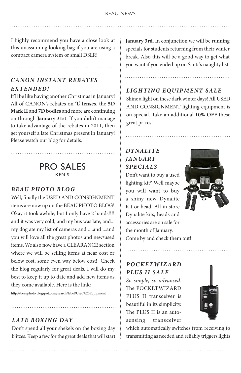I highly recommend you have a close look at this unassuming looking bag if you are using a compact camera system or small DSLR!

## *CANON INSTANT REBATES EXTENDED!*

It'll be like having another Christmas in January! All of CANON's rebates on **'L' lenses**, the **5D Mark II** and **7D bodies** and more are continuing on through **January 31st**. If you didn't manage to take advantage of the rebates in 2011, then get yourself a late Christmas present in January! Please watch our blog for details.

## PRO SALES KEN S.

#### *BEAU PHOTO BLOG*

Well, finally the USED AND CONSIGNMENT items are now up on the BEAU PHOTO BLOG! Okay it took awhile, but I only have 2 hands!!!! and it was very cold, and my bus was late, and... my dog ate my list of cameras and ....and ...and you will love all the great photos and new/used items. We also now have a CLEARANCE section where we will be selling items at near cost or below cost, some even way below cost! Check the blog regularly for great deals. I will do my best to keep it up to date and add new items as they come available. Here is the link:

http://beauphoto.blogspot.com/search/label/Used%20Equipment

#### *LATE BOXING DAY*

Don't spend all your shekels on the boxing day blitzes. Keep a few for the great deals that will start **January 3rd**. In conjunction we will be running specials for students returning from their winter break. Also this will be a good way to get what you want if you ended up on Santa's naughty list.

### *LIGHTING EQUIPMENT SALE*

Shine a light on these dark winter days! All USED AND CONSIGNMENT lighting equipment is on special. Take an additional **10% OFF** these great prices!

### *DYNALITE JANUARY SPECIALS*

Don't want to buy a used lighting kit? Well maybe you will want to buy a shiny new Dynalite Kit or head. All in store Dynalite kits, heads and accessories are on sale for the month of January. Come by and check them out!



### *PO CKET WIZ ARD PLUS II SALE*

*So simple, so advanced*. The POCKETWIZARD PLUS II transceiver is beautiful in its simplicity. The PLUS II is an autosensing transceiver

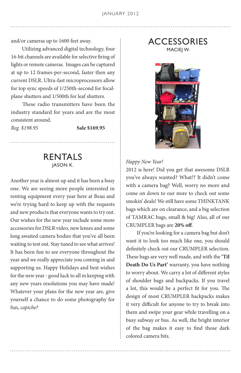and/or cameras up to 1600 feet away.

 Utilizing advanced digital technology, four 16-bit channels are available for selective firing of lights or remote cameras. Images can be captured at up to 12 frames-per-second, faster then any current DSLR. Ultra-fast microprocessors allow for top sync speeds of 1/250th-second for focalplane shutters and 1/500th for leaf shutters.

 These radio transmitters have been the industry standard for years and are the most consistent around.

*Reg. \$198.95* **Sale \$169.95**

## RENTALS JASON K.

Another year is almost up and it has been a busy one. We are seeing more people interested in renting equipment every year here at Beau and we're trying hard to keep up with the requests and new products that everyone wants to try out. Our wishes for the new year include some more accessories for DSLR video, new lenses and some long awaited camera bodies that you've all been waiting to test out. Stay tuned to see what arrives! It has been fun to see everyone throughout the year and we really appreciate you coming in and supporting us. Happy Holidays and best wishes for the new year - good luck to all in keeping with any new years resolutions you may have made! Whatever your plans for the new year are, give yourself a chance to do some photography for fun, *capiche?*

**ACCESSORIES** MACIEJ W.



#### *Happy New Year!*

2012 is here! Did you get that awesome DSLR you've always wanted? What!? It didn't come with a camera bag? Well, worry no more and come on down to our store to check out some smokin' deals! We still have some THINKTANK bags which are on clearance, and a big selection of TAMRAC bags, small & big! Also, all of our CRUMPLER bags are **20% off**.

 If you're looking for a camera bag but don't want it to look too much like one, you should definitely check out our CRUMPLER selection. These bags are very well made, and with the **'Til Death Do Us Part'** warranty, you have nothing to worry about. We carry a lot of different styles of shoulder bags and backpacks. If you travel a lot, this would be a perfect fit for you. The design of most CRUMPLER backpacks makes it very difficult for anyone to try to break into them and swipe your gear while travelling on a busy subway or bus. As well, the bright interior of the bag makes it easy to find those dark colored camera bits.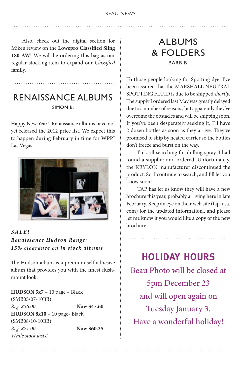Also, check out the digital section for Mike's review on the **Lowepro Classified Sling 180 AW**! We will be ordering this bag as our regular stocking item to expand our *Classified* family.

RENAISSANCE ALBUMS SIMON B.

Happy New Year! Renaissance albums have not yet released the 2012 price list, We expect this to happen during February in time for WPPI Las Vegas.



*SALE! Renai ssance Hud son Range: 15% clearance on in stock albums*

The Hudson album is a premium self-adhesive album that provides you with the finest flushmount look.

**HUDSON 5x7** – 10 page – Black (SMB05/07-10BB) *Reg. \$56.00* **Now \$47.60 HUDSON 8x10** – 10 page- Black (SMB08/10-10BB) *Reg. \$71.00* **Now \$60.35** *While stock lasts!*

## ALBUMS & FOLDERS BARB B.

To those people looking for Spotting dye, I've been assured that the MARSHALL NEUTRAL SPOTTING FLUID is due to be shipped *shortly*. The supply I ordered last May was greatly delayed due to a number of reasons, but apparently they've overcome the obstacles and will be shipping soon. If you've been desperately seeking it, I'll have 2 dozen bottles as soon as they arrive. They've promised to ship by heated carrier so the bottles don't freeze and burst on the way.

 I'm still searching for dulling spray. I had found a supplier and ordered. Unfortunately, the KRYLON manufacturer discontinued the product. So, I continue to search, and I'll let you know soon!

 TAP has let us know they will have a new brochure this year, probably arriving here in late February. Keep an eye on their web site (tap-usa. com) for the updated information.. and please let me know if you would like a copy of the new brochure.

**HOLIDAY HOURS** Beau Photo will be closed at 5pm December 23 and will open again on Tuesday January 3. Have a wonderful holiday!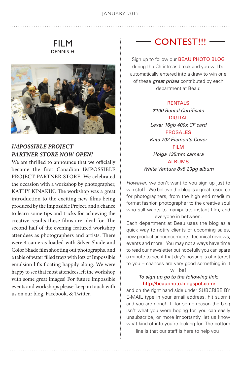## FILM DENNIS H.



## *IMPOSSIBLE PROJECT PARTNER STORE NOW OPEN!*

We are thrilled to announce that we officially became the first Canadian IMPOSSIBLE PROJECT PARTNER STORE. We celebrated the occasion with a workshop by photographer, KATHY KINAKIN. The workshop was a great introduction to the exciting new films being produced by the Impossible Project, and a chance to learn some tips and tricks for achieving the creative results these films are ideal for. The second half of the evening featured workshop attendees as photographers and artists. There were 4 cameras loaded with Silver Shade and Color Shade film shooting out photographs, and a table of water filled trays with lots of Impossible emulsion lifts floating happily along. We were happy to see that most attendees left the workshop with some great images! For future Impossible events and workshops please keep in touch with us on our blog, Facebook, & Twitter.

## - CONTEST!!! -

Sign up to follow our **BEAU PHOTO BLOG** during the Christmas break and you will be automatically entered into a draw to win one of these *great prizes* contributed by each department at Beau:

#### RENTALS

*\$100 Rental Certificate* DIGITAL *Lexar 16gb 400x CF card*  PROSALES *Kata 702 Elements Cover* FILM *Holga 135mm camera* ALBUMS *White Ventura 8x8 20pg album*

*However*, we don't want to you sign up just to win stuff. We believe the blog is a great resource for photographers, from the high end medium format fashion photographer to the creative soul who still wants to manipulate instant film, and everyone in between.

Each department at Beau uses the blog as a quick way to notify clients of upcoming sales, new product announcements, technical reviews, events and more. You may not always have time to read our newsletter but hopefully you can spare a minute to see if that day's posting is of interest to you – chances are very good something in it

will be!

#### *To sign up go to the following link:* http://beauphoto.blogspot.com/

and on the right hand side under SUBCRIBE BY E-MAIL type in your email address, hit submit and you are done! If for some reason the blog isn't what you were hoping for, you can easily unsubscribe, or more importantly, let us know what kind of info you're looking for. The bottom

line is that our staff is here to help you!